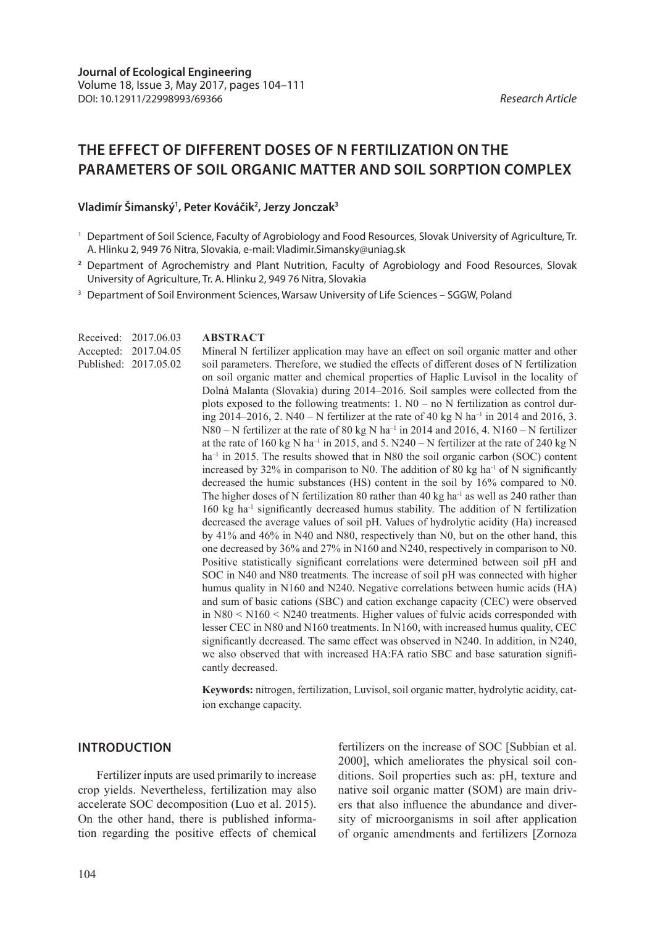# **THE EFFECT OF DIFFERENT DOSES OF N FERTILIZATION ON THE PARAMETERS OF SOIL ORGANIC MATTER AND SOIL SORPTION COMPLEX**

### **Vladimír Šimanský1 , Peter Kováčik2 , Jerzy Jonczak3**

**ABSTRACT**

- **<sup>2</sup>** Department of Agrochemistry and Plant Nutrition, Faculty of Agrobiology and Food Resources, Slovak University of Agriculture, Tr. A. Hlinku 2, 949 76 Nitra, Slovakia
- <sup>3</sup> Department of Soil Environment Sciences, Warsaw University of Life Sciences SGGW, Poland

Received: 2017.06.03 Accepted: 2017.04.05 Published: 2017.05.02

Mineral N fertilizer application may have an effect on soil organic matter and other soil parameters. Therefore, we studied the effects of different doses of N fertilization on soil organic matter and chemical properties of Haplic Luvisol in the locality of Dolná Malanta (Slovakia) during 2014–2016. Soil samples were collected from the plots exposed to the following treatments:  $1. N0 - no N$  fertilization as control during 2014–2016, 2. N40 – N fertilizer at the rate of 40 kg N ha<sup>-1</sup> in 2014 and 2016, 3. N80 – N fertilizer at the rate of 80 kg N ha<sup>-1</sup> in 2014 and 2016, 4. N160 – N fertilizer at the rate of 160 kg N ha<sup>-1</sup> in 2015, and 5. N240 – N fertilizer at the rate of 240 kg N  $ha^{-1}$  in 2015. The results showed that in N80 the soil organic carbon (SOC) content increased by 32% in comparison to N0. The addition of 80 kg ha<sup>-1</sup> of N significantly decreased the humic substances (HS) content in the soil by 16% compared to N0. The higher doses of N fertilization 80 rather than 40 kg ha<sup>-1</sup> as well as 240 rather than 160 kg ha<sup>-1</sup> significantly decreased humus stability. The addition of N fertilization decreased the average values of soil pH. Values of hydrolytic acidity (Ha) increased by 41% and 46% in N40 and N80, respectively than N0, but on the other hand, this one decreased by 36% and 27% in N160 and N240, respectively in comparison to N0. Positive statistically significant correlations were determined between soil pH and SOC in N40 and N80 treatments. The increase of soil pH was connected with higher humus quality in N160 and N240. Negative correlations between humic acids (HA) and sum of basic cations (SBC) and cation exchange capacity (CEC) were observed in N80 < N160 < N240 treatments. Higher values of fulvic acids corresponded with lesser CEC in N80 and N160 treatments. In N160, with increased humus quality, CEC significantly decreased. The same effect was observed in N240. In addition, in N240, we also observed that with increased HA:FA ratio SBC and base saturation significantly decreased.

**Keywords:** nitrogen, fertilization, Luvisol, soil organic matter, hydrolytic acidity, cation exchange capacity.

### **INTRODUCTION**

Fertilizer inputs are used primarily to increase crop yields. Nevertheless, fertilization may also accelerate SOC decomposition (Luo et al. 2015). On the other hand, there is published information regarding the positive effects of chemical fertilizers on the increase of SOC [Subbian et al. 2000], which ameliorates the physical soil conditions. Soil properties such as: pH, texture and native soil organic matter (SOM) are main drivers that also influence the abundance and diversity of microorganisms in soil after application of organic amendments and fertilizers [Zornoza

<sup>1</sup> Department of Soil Science, Faculty of Agrobiology and Food Resources, Slovak University of Agriculture, Tr. A. Hlinku 2, 949 76 Nitra, Slovakia, e-mail: Vladimir.Simansky@uniag.sk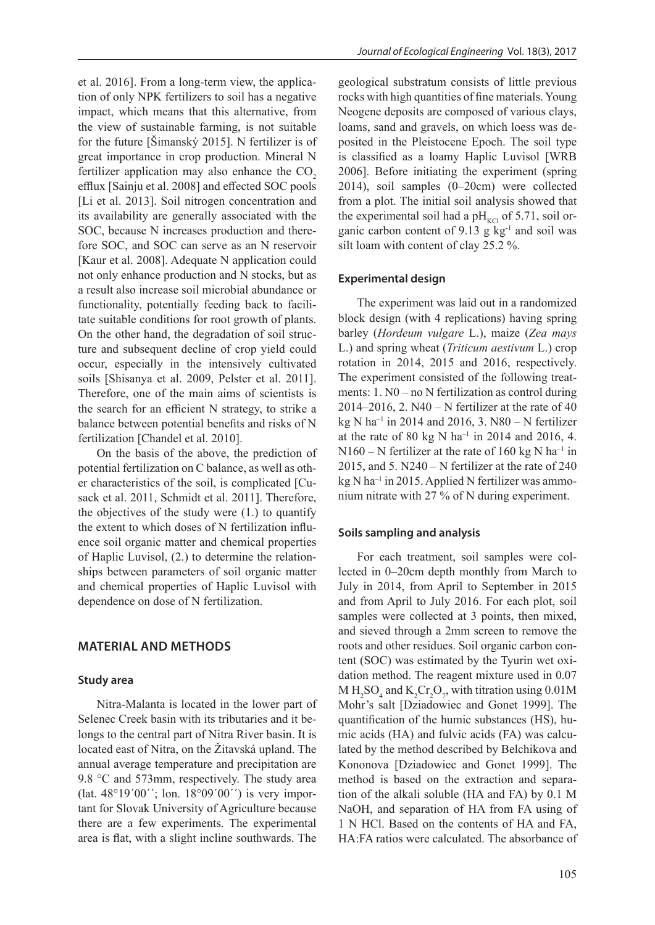et al. 2016]. From a long-term view, the application of only NPK fertilizers to soil has a negative impact, which means that this alternative, from the view of sustainable farming, is not suitable for the future [Šimanský 2015]. N fertilizer is of great importance in crop production. Mineral N fertilizer application may also enhance the  $CO<sub>2</sub>$ efflux [Sainju et al. 2008] and effected SOC pools [Li et al. 2013]. Soil nitrogen concentration and its availability are generally associated with the SOC, because N increases production and therefore SOC, and SOC can serve as an N reservoir [Kaur et al. 2008]. Adequate N application could not only enhance production and N stocks, but as a result also increase soil microbial abundance or functionality, potentially feeding back to facilitate suitable conditions for root growth of plants. On the other hand, the degradation of soil structure and subsequent decline of crop yield could occur, especially in the intensively cultivated soils [Shisanya et al. 2009, Pelster et al. 2011]. Therefore, one of the main aims of scientists is the search for an efficient N strategy, to strike a balance between potential benefits and risks of N fertilization [Chandel et al. 2010].

On the basis of the above, the prediction of potential fertilization on C balance, as well as other characteristics of the soil, is complicated [Cusack et al. 2011, Schmidt et al. 2011]. Therefore, the objectives of the study were (1.) to quantify the extent to which doses of N fertilization influence soil organic matter and chemical properties of Haplic Luvisol, (2.) to determine the relationships between parameters of soil organic matter and chemical properties of Haplic Luvisol with dependence on dose of N fertilization.

### **MATERIAL AND METHODS**

### **Study area**

Nitra-Malanta is located in the lower part of Selenec Creek basin with its tributaries and it belongs to the central part of Nitra River basin. It is located east of Nitra, on the Žitavská upland. The annual average temperature and precipitation are 9.8 °C and 573mm, respectively. The study area (lat. 48°19´00´´; lon. 18°09´00´´) is very important for Slovak University of Agriculture because there are a few experiments. The experimental area is flat, with a slight incline southwards. The

geological substratum consists of little previous rocks with high quantities of fine materials. Young Neogene deposits are composed of various clays, loams, sand and gravels, on which loess was deposited in the Pleistocene Epoch. The soil type is classified as a loamy Haplic Luvisol [WRB 2006]. Before initiating the experiment (spring 2014), soil samples (0–20cm) were collected from a plot. The initial soil analysis showed that the experimental soil had a  $pH_{\text{KCl}}$  of 5.71, soil organic carbon content of 9.13 g  $kg<sup>-1</sup>$  and soil was silt loam with content of clay 25.2 %.

### **Experimental design**

The experiment was laid out in a randomized block design (with 4 replications) having spring barley (*Hordeum vulgare* L.), maize (*Zea mays*  L.) and spring wheat (*Triticum aestivum* L.) crop rotation in 2014, 2015 and 2016, respectively. The experiment consisted of the following treatments: 1. N0 – no N fertilization as control during 2014–2016, 2.  $N40 - N$  fertilizer at the rate of 40 kg N ha<sup>-1</sup> in 2014 and 2016, 3. N80 - N fertilizer at the rate of 80 kg N ha<sup>-1</sup> in 2014 and 2016, 4.  $N160 - N$  fertilizer at the rate of 160 kg N ha<sup>-1</sup> in 2015, and 5.  $N240 - N$  fertilizer at the rate of 240  $kg$  N ha<sup>-1</sup> in 2015. Applied N fertilizer was ammonium nitrate with 27 % of N during experiment.

### **Soils sampling and analysis**

For each treatment, soil samples were collected in 0–20cm depth monthly from March to July in 2014, from April to September in 2015 and from April to July 2016. For each plot, soil samples were collected at 3 points, then mixed, and sieved through a 2mm screen to remove the roots and other residues. Soil organic carbon content (SOC) was estimated by the Tyurin wet oxidation method. The reagent mixture used in 0.07 M  $\text{H}_{2}\text{SO}_{4}$  and  $\text{K}_{2}\text{Cr}_{2}\text{O}_{7}$ , with titration using 0.01M Mohr's salt [Dziadowiec and Gonet 1999]. The quantification of the humic substances (HS), humic acids (HA) and fulvic acids (FA) was calculated by the method described by Belchikova and Kononova [Dziadowiec and Gonet 1999]. The method is based on the extraction and separation of the alkali soluble (HA and FA) by 0.1 M NaOH, and separation of HA from FA using of 1 N HCl. Based on the contents of HA and FA, HA:FA ratios were calculated. The absorbance of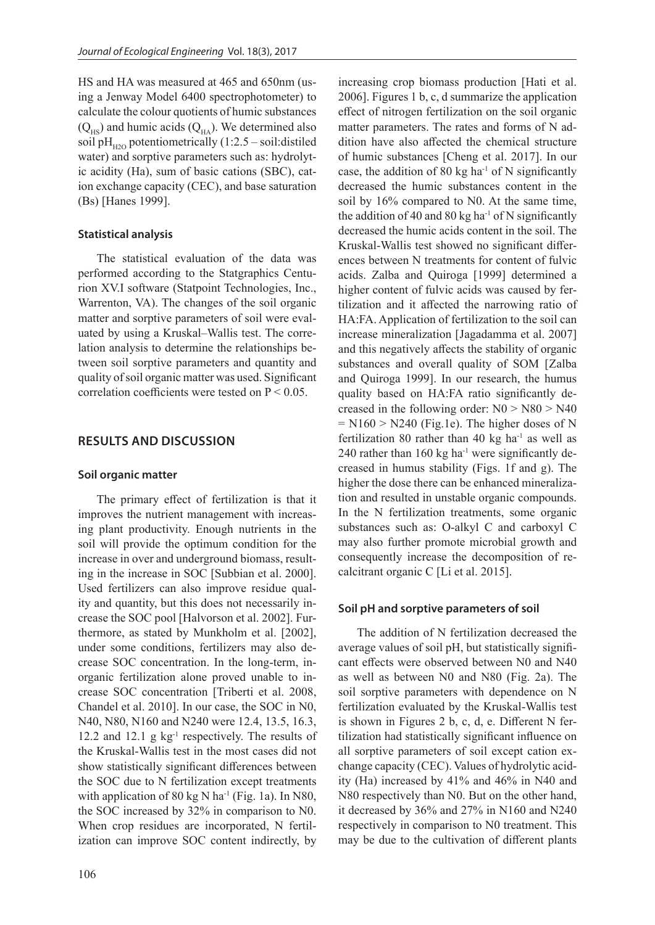HS and HA was measured at 465 and 650nm (using a Jenway Model 6400 spectrophotometer) to calculate the colour quotients of humic substances  $(Q<sub>HS</sub>)$  and humic acids  $(Q<sub>HA</sub>)$ . We determined also soil pH<sub>H2O</sub> potentiometrically  $(1:2.5 - \text{soil:distributed})$ water) and sorptive parameters such as: hydrolytic acidity (Ha), sum of basic cations (SBC), cation exchange capacity (CEC), and base saturation (Bs) [Hanes 1999].

## **Statistical analysis**

The statistical evaluation of the data was performed according to the Statgraphics Centurion XV.I software (Statpoint Technologies, Inc., Warrenton, VA). The changes of the soil organic matter and sorptive parameters of soil were evaluated by using a Kruskal–Wallis test. The correlation analysis to determine the relationships between soil sorptive parameters and quantity and quality of soil organic matter was used. Significant correlation coefficients were tested on  $P < 0.05$ .

## **RESULTS AND DISCUSSION**

## **Soil organic matter**

The primary effect of fertilization is that it improves the nutrient management with increasing plant productivity. Enough nutrients in the soil will provide the optimum condition for the increase in over and underground biomass, resulting in the increase in SOC [Subbian et al. 2000]. Used fertilizers can also improve residue quality and quantity, but this does not necessarily increase the SOC pool [Halvorson et al. 2002]. Furthermore, as stated by Munkholm et al. [2002], under some conditions, fertilizers may also decrease SOC concentration. In the long-term, inorganic fertilization alone proved unable to increase SOC concentration [Triberti et al. 2008, Chandel et al. 2010]. In our case, the SOC in N0, N40, N80, N160 and N240 were 12.4, 13.5, 16.3, 12.2 and 12.1 g  $kg^{-1}$  respectively. The results of the Kruskal-Wallis test in the most cases did not show statistically significant differences between the SOC due to N fertilization except treatments with application of 80 kg N ha<sup>-1</sup> (Fig. 1a). In N80, the SOC increased by 32% in comparison to N0. When crop residues are incorporated, N fertilization can improve SOC content indirectly, by

increasing crop biomass production [Hati et al. 2006]. Figures 1 b, c, d summarize the application effect of nitrogen fertilization on the soil organic matter parameters. The rates and forms of N addition have also affected the chemical structure of humic substances [Cheng et al. 2017]. In our case, the addition of 80 kg ha<sup>-1</sup> of N significantly decreased the humic substances content in the soil by 16% compared to N0. At the same time, the addition of 40 and 80 kg ha<sup>-1</sup> of N significantly decreased the humic acids content in the soil. The Kruskal-Wallis test showed no significant differences between N treatments for content of fulvic acids. Zalba and Quiroga [1999] determined a higher content of fulvic acids was caused by fertilization and it affected the narrowing ratio of HA:FA. Application of fertilization to the soil can increase mineralization [Jagadamma et al. 2007] and this negatively affects the stability of organic substances and overall quality of SOM [Zalba and Quiroga 1999]. In our research, the humus quality based on HA:FA ratio significantly decreased in the following order:  $N0 > N80 > N40$  $= N160 > N240$  (Fig.1e). The higher doses of N fertilization 80 rather than 40 kg ha $^{-1}$  as well as 240 rather than  $160 \text{ kg}$  ha<sup>-1</sup> were significantly decreased in humus stability (Figs. 1f and g). The higher the dose there can be enhanced mineralization and resulted in unstable organic compounds. In the N fertilization treatments, some organic substances such as: O-alkyl C and carboxyl C may also further promote microbial growth and consequently increase the decomposition of recalcitrant organic C [Li et al. 2015].

## **Soil pH and sorptive parameters of soil**

The addition of N fertilization decreased the average values of soil pH, but statistically significant effects were observed between N0 and N40 as well as between N0 and N80 (Fig. 2a). The soil sorptive parameters with dependence on N fertilization evaluated by the Kruskal-Wallis test is shown in Figures 2 b, c, d, e. Different N fertilization had statistically significant influence on all sorptive parameters of soil except cation exchange capacity (CEC). Values of hydrolytic acidity (Ha) increased by 41% and 46% in N40 and N80 respectively than N0. But on the other hand, it decreased by 36% and 27% in N160 and N240 respectively in comparison to N0 treatment. This may be due to the cultivation of different plants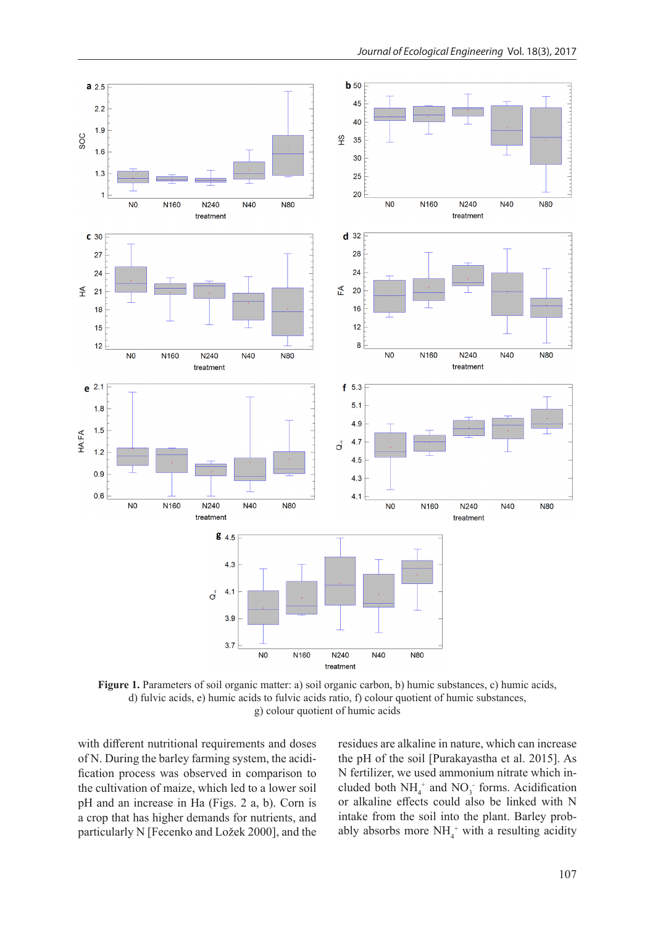

**Figure 1.** Parameters of soil organic matter: a) soil organic carbon, b) humic substances, c) humic acids, d) fulvic acids, e) humic acids to fulvic acids ratio, f) colour quotient of humic substances, g) colour quotient of humic acids

with different nutritional requirements and doses of N. During the barley farming system, the acidification process was observed in comparison to the cultivation of maize, which led to a lower soil pH and an increase in Ha (Figs. 2 a, b). Corn is a crop that has higher demands for nutrients, and particularly N [Fecenko and Ložek 2000], and the residues are alkaline in nature, which can increase the pH of the soil [Purakayastha et al. 2015]. As N fertilizer, we used ammonium nitrate which included both  $NH_4^+$  and  $NO_3^-$  forms. Acidification or alkaline effects could also be linked with N intake from the soil into the plant. Barley probably absorbs more  $NH_4^+$  with a resulting acidity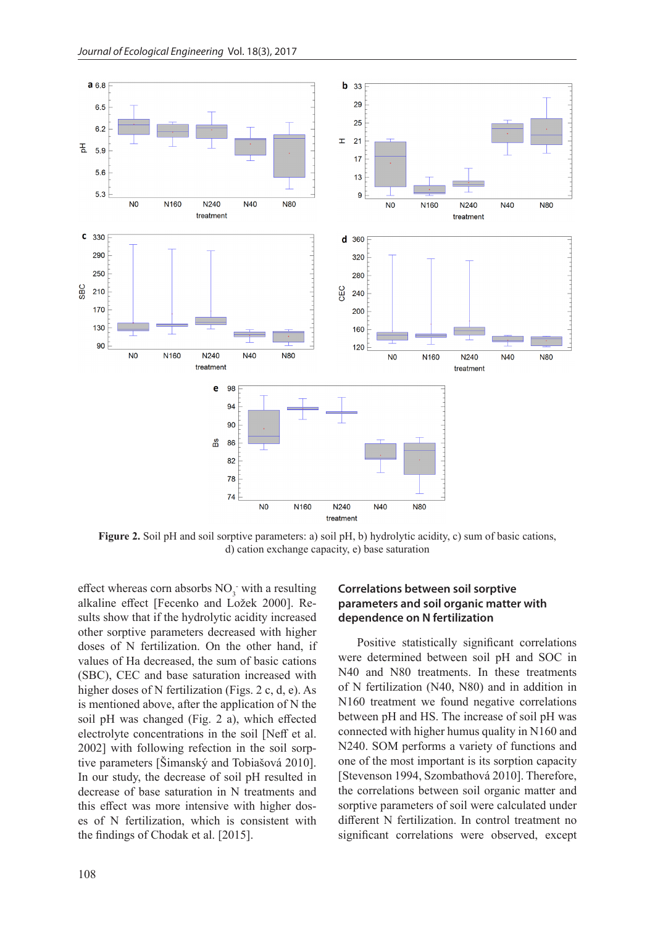

**Figure 2.** Soil pH and soil sorptive parameters: a) soil pH, b) hydrolytic acidity, c) sum of basic cations, d) cation exchange capacity, e) base saturation

effect whereas corn absorbs  $NO_3^-$  with a resulting alkaline effect [Fecenko and Ložek 2000]. Results show that if the hydrolytic acidity increased other sorptive parameters decreased with higher doses of N fertilization. On the other hand, if values of Ha decreased, the sum of basic cations (SBC), CEC and base saturation increased with higher doses of N fertilization (Figs. 2 c, d, e). As is mentioned above, after the application of N the soil pH was changed (Fig. 2 a), which effected electrolyte concentrations in the soil [Neff et al. 2002] with following refection in the soil sorptive parameters [Šimanský and Tobiašová 2010]. In our study, the decrease of soil pH resulted in decrease of base saturation in N treatments and this effect was more intensive with higher doses of N fertilization, which is consistent with the findings of Chodak et al. [2015].

## **Correlations between soil sorptive parameters and soil organic matter with dependence on N fertilization**

Positive statistically significant correlations were determined between soil pH and SOC in N40 and N80 treatments. In these treatments of N fertilization (N40, N80) and in addition in N160 treatment we found negative correlations between pH and HS. The increase of soil pH was connected with higher humus quality in N160 and N240. SOM performs a variety of functions and one of the most important is its sorption capacity [Stevenson 1994, Szombathová 2010]. Therefore, the correlations between soil organic matter and sorptive parameters of soil were calculated under different N fertilization. In control treatment no significant correlations were observed, except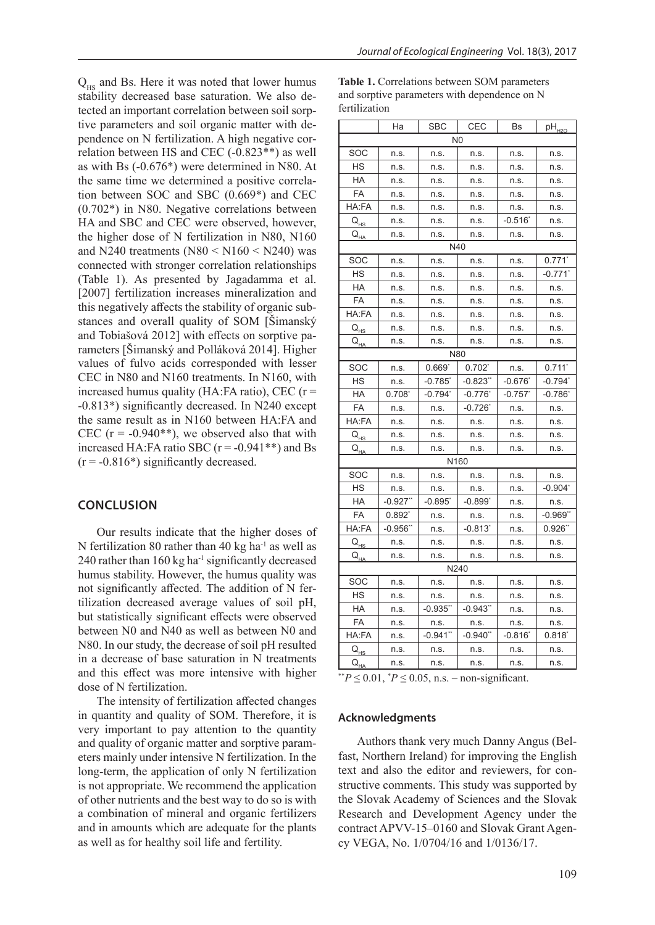$Q_{HS}$  and Bs. Here it was noted that lower humus stability decreased base saturation. We also detected an important correlation between soil sorptive parameters and soil organic matter with dependence on N fertilization. A high negative correlation between HS and CEC (-0.823\*\*) as well as with Bs (-0.676\*) were determined in N80. At the same time we determined a positive correlation between SOC and SBC (0.669\*) and CEC (0.702\*) in N80. Negative correlations between HA and SBC and CEC were observed, however, the higher dose of N fertilization in N80, N160 and N240 treatments  $(N80 \le N160 \le N240)$  was connected with stronger correlation relationships (Table 1). As presented by Jagadamma et al. [2007] fertilization increases mineralization and this negatively affects the stability of organic substances and overall quality of SOM [Šimanský and Tobiašová 2012] with effects on sorptive parameters [Šimanský and Polláková 2014]. Higher values of fulvo acids corresponded with lesser CEC in N80 and N160 treatments. In N160, with increased humus quality (HA:FA ratio), CEC (r = -0.813\*) significantly decreased. In N240 except the same result as in N160 between HA:FA and CEC  $(r = -0.940**)$ , we observed also that with increased HA:FA ratio SBC ( $r = -0.941**$ ) and Bs  $(r = -0.816*)$  significantly decreased.

### **CONCLUSION**

Our results indicate that the higher doses of N fertilization 80 rather than 40 kg ha<sup>-1</sup> as well as 240 rather than  $160 \text{ kg}$  ha<sup>-1</sup> significantly decreased humus stability. However, the humus quality was not significantly affected. The addition of N fertilization decreased average values of soil pH, but statistically significant effects were observed between N0 and N40 as well as between N0 and N80. In our study, the decrease of soil pH resulted in a decrease of base saturation in N treatments and this effect was more intensive with higher dose of N fertilization.

The intensity of fertilization affected changes in quantity and quality of SOM. Therefore, it is very important to pay attention to the quantity and quality of organic matter and sorptive parameters mainly under intensive N fertilization. In the long-term, the application of only N fertilization is not appropriate. We recommend the application of other nutrients and the best way to do so is with a combination of mineral and organic fertilizers and in amounts which are adequate for the plants as well as for healthy soil life and fertility.

| Table 1. Correlations between SOM parameters |
|----------------------------------------------|
| and sorptive parameters with dependence on N |
| fertilization                                |

|                            | Ha              | <b>SBC</b>            | CEC                   | Bs                    | $pH_{H2O}$            |  |
|----------------------------|-----------------|-----------------------|-----------------------|-----------------------|-----------------------|--|
| N <sub>0</sub>             |                 |                       |                       |                       |                       |  |
| SOC                        | n.s.            | n.s.                  | n.s.                  | n.s.                  | n.s.                  |  |
| HS                         | n.s.            | n.s.                  | n.s.                  | n.s.                  | n.s.                  |  |
| HA                         | n.s.            | n.s.                  | n.s.                  | n.s.                  | n.s.                  |  |
| <b>FA</b>                  | n.s.            | n.s.                  | n.s.                  | n.s.                  | n.s.                  |  |
| HA:FA                      | n.s.            | n.s.                  | n.s.                  | n.s.                  | n.s.                  |  |
| $Q_{HS}$                   | n.s.            | n.s.                  | n.s.                  | $-0.516"$             | n.s.                  |  |
| $Q_{H\!\Delta}$            | n.s.            | n.s.                  | n.s.                  | n.s.                  | n.s.                  |  |
| N40                        |                 |                       |                       |                       |                       |  |
| SOC                        | n.s.            | n.s.                  | n.s.                  | n.s.                  | $0.771$ <sup>*</sup>  |  |
| <b>HS</b>                  | n.s.            | n.s.                  | n.s.                  | n.s.                  | $-0.771$ <sup>*</sup> |  |
| <b>HA</b>                  | n.s.            | n.s.                  | n.s.                  | n.s.                  | n.s.                  |  |
| FA                         | n.s.            | n.s.                  | n.s.                  | n.s.                  | n.s.                  |  |
| HA:FA                      | n.s.            | n.s.                  | n.s.                  | n.s.                  | n.s.                  |  |
| $Q_{HS}$                   | n.s.            | n.s.                  | n.s.                  | n.s.                  | n.s.                  |  |
| $Q_{H\!A}$                 | n.s.            | n.s.                  | n.s.                  | n.s.                  | n.s.                  |  |
| N80                        |                 |                       |                       |                       |                       |  |
| SOC                        | n.s.            | $0.669^*$             | $0.702^{*}$           | n.s.                  | 0.711                 |  |
| HS                         | n.s.            | $-0.785$ <sup>*</sup> | $-0.823"$             | $-0.676$ <sup>*</sup> | $-0.794$ *            |  |
| <b>HA</b>                  | $0.708^{\circ}$ | $-0.794$              | $-0.776$ <sup>*</sup> | $-0.757$              | -0.786*               |  |
| FA                         | n.s.            | n.s.                  | $-0.726^{\circ}$      | n.s.                  | n.s.                  |  |
| HA:FA                      | n.s.            | n.s.                  | n.s.                  | n.s.                  | n.s.                  |  |
| $\mathsf{Q}_{\texttt{HS}}$ | n.s.            | n.s.                  | n.s.                  | n.s.                  | n.s.                  |  |
| $Q_{H\!A}$                 | n.s.            | n.s.                  | n.s.                  | n.s.                  | n.s.                  |  |
| N160                       |                 |                       |                       |                       |                       |  |
| SOC                        | n.s.            | n.s.                  | n.s.                  | n.s.                  | n.s.                  |  |
| <b>HS</b>                  | n.s.            | n.s.                  | n.s.                  | n.s.                  | $-0.904$ <sup>*</sup> |  |
| HA                         | $-0.927$ "      | $-0.895"$             | $-0.899'$             | n.s.                  | n.s.                  |  |
| <b>FA</b>                  | $0.892^*$       | n.s.                  | n.s.                  | n.s.                  | $-0.969"$             |  |
| HA:FA                      | $-0.956"$       | n.s.                  | $-0.813"$             | n.s.                  | 0.926"                |  |
| $Q_{HS}$                   | n.s.            | n.s.                  | n.s.                  | n.s.                  | n.s.                  |  |
| $Q_{H\!\Delta}$            | n.s.            | n.s.                  | n.s.                  | n.s.                  | n.s.                  |  |
| N240                       |                 |                       |                       |                       |                       |  |
| SOC                        | n.s.            | n.s.                  | n.s.                  | n.s.                  | n.s.                  |  |
| <b>HS</b>                  | n.s.            | n.s.                  | n.s.                  | n.s.                  | n.s.                  |  |
| HA                         | n.s.            | $-0.935"$             | $-0.943"$             | n.s.                  | n.s.                  |  |
| FA                         | n.s.            | n.s.                  | n.s.                  | n.s.                  | n.s.                  |  |
| HA:FA                      | n.s.            | $-0.941$ "            | $-0.940$ **           | $-0.816"$             | $0.818^{*}$           |  |
| $Q_{HS}$                   | n.s.            | n.s.                  | n.s.                  | n.s.                  | n.s.                  |  |
| $Q_{H\Delta}$              | n.s.            | n.s.                  | n.s.                  | n.s.                  | n.s.                  |  |

<sup>\*\*</sup> $P$  ≤ 0.01,  $*$  $P$  ≤ 0.05, n.s. – non-significant.

### **Acknowledgments**

Authors thank very much Danny Angus (Belfast, Northern Ireland) for improving the English text and also the editor and reviewers, for constructive comments. This study was supported by the Slovak Academy of Sciences and the Slovak Research and Development Agency under the contract APVV-15–0160 and Slovak Grant Agency VEGA, No. 1/0704/16 and 1/0136/17.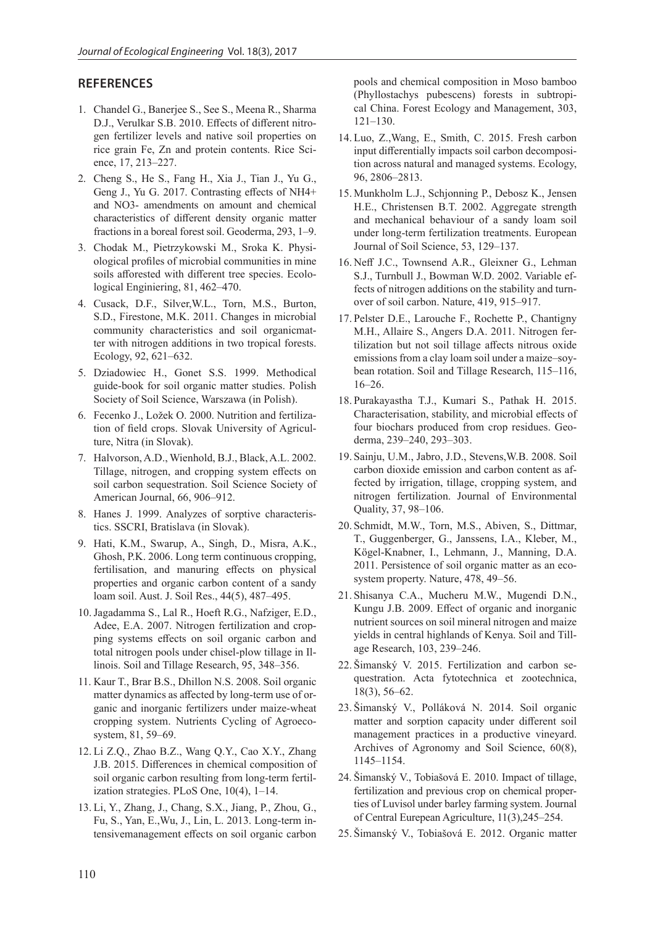### **REFERENCES**

- 1. Chandel G., Banerjee S., See S., Meena R., Sharma D.J., Verulkar S.B. 2010. Effects of different nitrogen fertilizer levels and native soil properties on rice grain Fe, Zn and protein contents. Rice Science, 17, 213–227.
- 2. Cheng S., He S., Fang H., Xia J., Tian J., Yu G., Geng J., Yu G. 2017. Contrasting effects of NH4+ and NO3- amendments on amount and chemical characteristics of different density organic matter fractions in a boreal forest soil. Geoderma, 293, 1–9.
- 3. Chodak M., Pietrzykowski M., Sroka K. Physiological profiles of microbial communities in mine soils afforested with different tree species. Ecolological Enginiering, 81, 462–470.
- 4. Cusack, D.F., Silver,W.L., Torn, M.S., Burton, S.D., Firestone, M.K. 2011. Changes in microbial community characteristics and soil organicmatter with nitrogen additions in two tropical forests. Ecology, 92, 621–632.
- 5. Dziadowiec H., Gonet S.S. 1999. Methodical guide-book for soil organic matter studies. Polish Society of Soil Science, Warszawa (in Polish).
- 6. Fecenko J., Ložek O. 2000. Nutrition and fertilization of field crops. Slovak University of Agriculture, Nitra (in Slovak).
- 7. Halvorson, A.D., Wienhold, B.J., Black, A.L. 2002. Tillage, nitrogen, and cropping system effects on soil carbon sequestration. Soil Science Society of American Journal, 66, 906–912.
- 8. Hanes J. 1999. Analyzes of sorptive characteristics. SSCRI, Bratislava (in Slovak).
- 9. Hati, K.M., Swarup, A., Singh, D., Misra, A.K., Ghosh, P.K. 2006. Long term continuous cropping, fertilisation, and manuring effects on physical properties and organic carbon content of a sandy loam soil. Aust. J. Soil Res., 44(5), 487–495.
- 10.Jagadamma S., Lal R., Hoeft R.G., Nafziger, E.D., Adee, E.A. 2007. Nitrogen fertilization and cropping systems effects on soil organic carbon and total nitrogen pools under chisel-plow tillage in Illinois. Soil and Tillage Research, 95, 348–356.
- 11. Kaur T., Brar B.S., Dhillon N.S. 2008. Soil organic matter dynamics as affected by long-term use of organic and inorganic fertilizers under maize-wheat cropping system. Nutrients Cycling of Agroecosystem, 81, 59–69.
- 12. Li Z.Q., Zhao B.Z., Wang Q.Y., Cao X.Y., Zhang J.B. 2015. Differences in chemical composition of soil organic carbon resulting from long-term fertilization strategies. PLoS One, 10(4), 1–14.
- 13. Li, Y., Zhang, J., Chang, S.X., Jiang, P., Zhou, G., Fu, S., Yan, E.,Wu, J., Lin, L. 2013. Long-term intensivemanagement effects on soil organic carbon

pools and chemical composition in Moso bamboo (Phyllostachys pubescens) forests in subtropical China. Forest Ecology and Management, 303, 121–130.

- 14. Luo, Z.,Wang, E., Smith, C. 2015. Fresh carbon input differentially impacts soil carbon decomposition across natural and managed systems. Ecology, 96, 2806–2813.
- 15. Munkholm L.J., Schjonning P., Debosz K., Jensen H.E., Christensen B.T. 2002. Aggregate strength and mechanical behaviour of a sandy loam soil under long-term fertilization treatments. European Journal of Soil Science, 53, 129–137.
- 16. Neff J.C., Townsend A.R., Gleixner G., Lehman S.J., Turnbull J., Bowman W.D. 2002. Variable effects of nitrogen additions on the stability and turnover of soil carbon. Nature, 419, 915–917.
- 17. Pelster D.E., Larouche F., Rochette P., Chantigny M.H., Allaire S., Angers D.A. 2011. Nitrogen fertilization but not soil tillage affects nitrous oxide emissions from a clay loam soil under a maize–soybean rotation. Soil and Tillage Research, 115–116, 16–26.
- 18. Purakayastha T.J., Kumari S., Pathak H. 2015. Characterisation, stability, and microbial effects of four biochars produced from crop residues. Geoderma, 239–240, 293–303.
- 19. Sainju, U.M., Jabro, J.D., Stevens,W.B. 2008. Soil carbon dioxide emission and carbon content as affected by irrigation, tillage, cropping system, and nitrogen fertilization. Journal of Environmental Quality, 37, 98–106.
- 20. Schmidt, M.W., Torn, M.S., Abiven, S., Dittmar, T., Guggenberger, G., Janssens, I.A., Kleber, M., Kögel-Knabner, I., Lehmann, J., Manning, D.A. 2011. Persistence of soil organic matter as an ecosystem property. Nature, 478, 49–56.
- 21. Shisanya C.A., Mucheru M.W., Mugendi D.N., Kungu J.B. 2009. Effect of organic and inorganic nutrient sources on soil mineral nitrogen and maize yields in central highlands of Kenya. Soil and Tillage Research, 103, 239–246.
- 22. Šimanský V. 2015. Fertilization and carbon sequestration. Acta fytotechnica et zootechnica, 18(3), 56–62.
- 23. Šimanský V., Polláková N. 2014. Soil organic matter and sorption capacity under different soil management practices in a productive vineyard. Archives of Agronomy and Soil Science, 60(8), 1145–1154.
- 24. Šimanský V., Tobiašová E. 2010. Impact of tillage, fertilization and previous crop on chemical properties of Luvisol under barley farming system. Journal of Central Eurepean Agriculture, 11(3),245–254.
- 25. Šimanský V., Tobiašová E. 2012. Organic matter